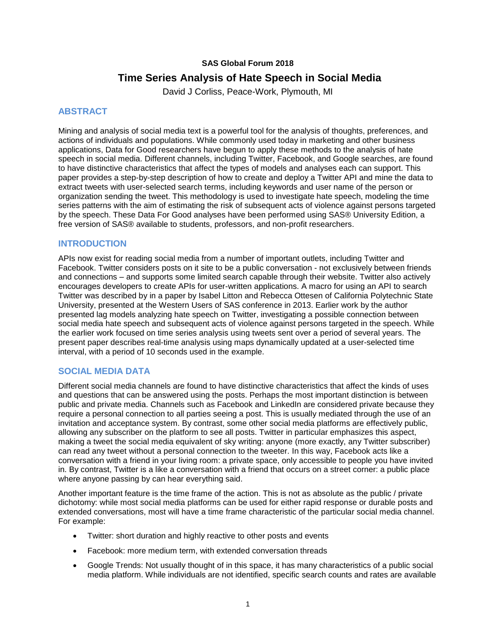### **SAS Global Forum 2018**

# **Time Series Analysis of Hate Speech in Social Media**

David J Corliss, Peace-Work, Plymouth, MI

# **ABSTRACT**

Mining and analysis of social media text is a powerful tool for the analysis of thoughts, preferences, and actions of individuals and populations. While commonly used today in marketing and other business applications, Data for Good researchers have begun to apply these methods to the analysis of hate speech in social media. Different channels, including Twitter, Facebook, and Google searches, are found to have distinctive characteristics that affect the types of models and analyses each can support. This paper provides a step-by-step description of how to create and deploy a Twitter API and mine the data to extract tweets with user-selected search terms, including keywords and user name of the person or organization sending the tweet. This methodology is used to investigate hate speech, modeling the time series patterns with the aim of estimating the risk of subsequent acts of violence against persons targeted by the speech. These Data For Good analyses have been performed using SAS® University Edition, a free version of SAS® available to students, professors, and non-profit researchers.

# **INTRODUCTION**

APIs now exist for reading social media from a number of important outlets, including Twitter and Facebook. Twitter considers posts on it site to be a public conversation - not exclusively between friends and connections – and supports some limited search capable through their website. Twitter also actively encourages developers to create APIs for user-written applications. A macro for using an API to search Twitter was described by in a paper by Isabel Litton and Rebecca Ottesen of California Polytechnic State University, presented at the Western Users of SAS conference in 2013. Earlier work by the author presented lag models analyzing hate speech on Twitter, investigating a possible connection between social media hate speech and subsequent acts of violence against persons targeted in the speech. While the earlier work focused on time series analysis using tweets sent over a period of several years. The present paper describes real-time analysis using maps dynamically updated at a user-selected time interval, with a period of 10 seconds used in the example.

# **SOCIAL MEDIA DATA**

Different social media channels are found to have distinctive characteristics that affect the kinds of uses and questions that can be answered using the posts. Perhaps the most important distinction is between public and private media. Channels such as Facebook and LinkedIn are considered private because they require a personal connection to all parties seeing a post. This is usually mediated through the use of an invitation and acceptance system. By contrast, some other social media platforms are effectively public, allowing any subscriber on the platform to see all posts. Twitter in particular emphasizes this aspect, making a tweet the social media equivalent of sky writing: anyone (more exactly, any Twitter subscriber) can read any tweet without a personal connection to the tweeter. In this way, Facebook acts like a conversation with a friend in your living room: a private space, only accessible to people you have invited in. By contrast, Twitter is a like a conversation with a friend that occurs on a street corner: a public place where anyone passing by can hear everything said.

Another important feature is the time frame of the action. This is not as absolute as the public / private dichotomy: while most social media platforms can be used for either rapid response or durable posts and extended conversations, most will have a time frame characteristic of the particular social media channel. For example:

- Twitter: short duration and highly reactive to other posts and events
- Facebook: more medium term, with extended conversation threads
- Google Trends: Not usually thought of in this space, it has many characteristics of a public social media platform. While individuals are not identified, specific search counts and rates are available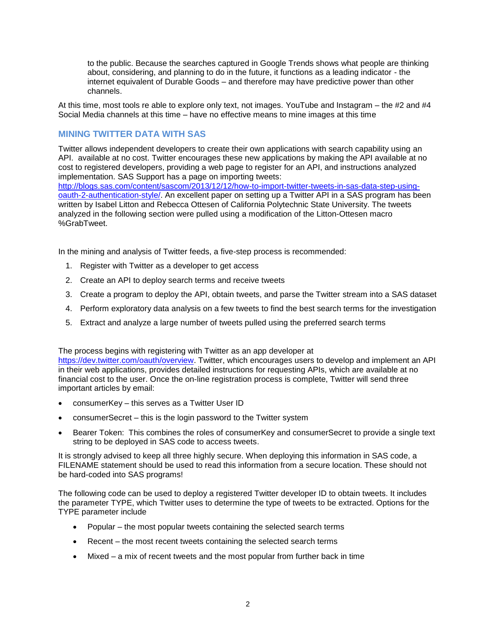to the public. Because the searches captured in Google Trends shows what people are thinking about, considering, and planning to do in the future, it functions as a leading indicator - the internet equivalent of Durable Goods – and therefore may have predictive power than other channels.

At this time, most tools re able to explore only text, not images. YouTube and Instagram – the #2 and #4 Social Media channels at this time – have no effective means to mine images at this time

# **MINING TWITTER DATA WITH SAS**

Twitter allows independent developers to create their own applications with search capability using an API. available at no cost. Twitter encourages these new applications by making the API available at no cost to registered developers, providing a web page to register for an API, and instructions analyzed implementation. SAS Support has a page on importing tweets:

[http://blogs.sas.com/content/sascom/2013/12/12/how-to-import-twitter-tweets-in-sas-data-step-using](http://blogs.sas.com/content/sascom/2013/12/12/how-to-import-twitter-tweets-in-sas-data-step-using-oauth-2-authentication-style/)[oauth-2-authentication-style/.](http://blogs.sas.com/content/sascom/2013/12/12/how-to-import-twitter-tweets-in-sas-data-step-using-oauth-2-authentication-style/) An excellent paper on setting up a Twitter API in a SAS program has been written by Isabel Litton and Rebecca Ottesen of California Polytechnic State University. The tweets analyzed in the following section were pulled using a modification of the Litton-Ottesen macro %GrabTweet.

In the mining and analysis of Twitter feeds, a five-step process is recommended:

- 1. Register with Twitter as a developer to get access
- 2. Create an API to deploy search terms and receive tweets
- 3. Create a program to deploy the API, obtain tweets, and parse the Twitter stream into a SAS dataset
- 4. Perform exploratory data analysis on a few tweets to find the best search terms for the investigation
- 5. Extract and analyze a large number of tweets pulled using the preferred search terms

The process begins with registering with Twitter as an app developer at

[https://dev.twitter.com/oauth/overview.](https://dev.twitter.com/oauth/overview) Twitter, which encourages users to develop and implement an API in their web applications, provides detailed instructions for requesting APIs, which are available at no financial cost to the user. Once the on-line registration process is complete, Twitter will send three important articles by email:

- consumerKey this serves as a Twitter User ID
- consumerSecret this is the login password to the Twitter system
- Bearer Token: This combines the roles of consumerKey and consumerSecret to provide a single text string to be deployed in SAS code to access tweets.

It is strongly advised to keep all three highly secure. When deploying this information in SAS code, a FILENAME statement should be used to read this information from a secure location. These should not be hard-coded into SAS programs!

The following code can be used to deploy a registered Twitter developer ID to obtain tweets. It includes the parameter TYPE, which Twitter uses to determine the type of tweets to be extracted. Options for the TYPE parameter include

- Popular the most popular tweets containing the selected search terms
- Recent the most recent tweets containing the selected search terms
- Mixed  $-$  a mix of recent tweets and the most popular from further back in time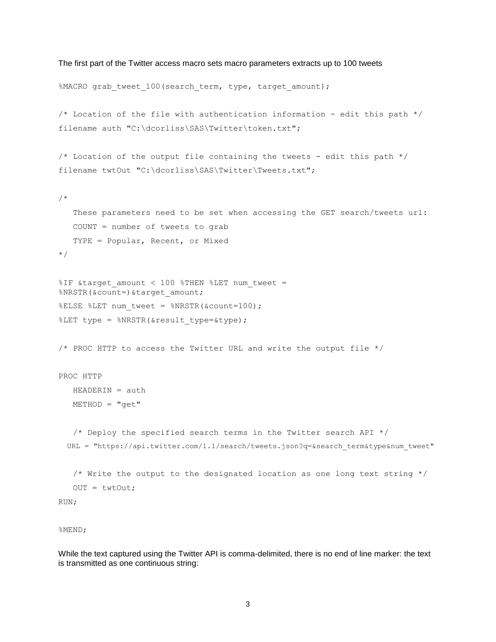```
The first part of the Twitter access macro sets macro parameters extracts up to 100 tweets
```

```
%MACRO grab tweet 100 (search term, type, target amount);
/* Location of the file with authentication information - edit this path */
filename auth "C:\dcorliss\SAS\Twitter\token.txt";
/* Location of the output file containing the tweets - edit this path */filename twtOut "C:\dcorliss\SAS\Twitter\Tweets.txt";
/*
    These parameters need to be set when accessing the GET search/tweets url:
   COUNT = number of tweets to grab
   TYPE = Popular, Recent, or Mixed
*/
%IF &target amount < 100 %THEN %LET num tweet =
%NRSTR(&count=)&target amount;
%ELSE %LET num tweet = %NRSTR(&count=100);
%LET type = %NRSTR(&result type=&type);
/* PROC HTTP to access the Twitter URL and write the output file */
PROC HTTP
  HEADERIN = authMETHOD = "qet" /* Deploy the specified search terms in the Twitter search API */
  URL = "https://api.twitter.com/1.1/search/tweets.json?q=&search_term&type&num_tweet"
   /* Write the output to the designated location as one long text string */
  OUT = twtOut:RUN;
```

```
%MEND;
```
While the text captured using the Twitter API is comma-delimited, there is no end of line marker: the text is transmitted as one continuous string: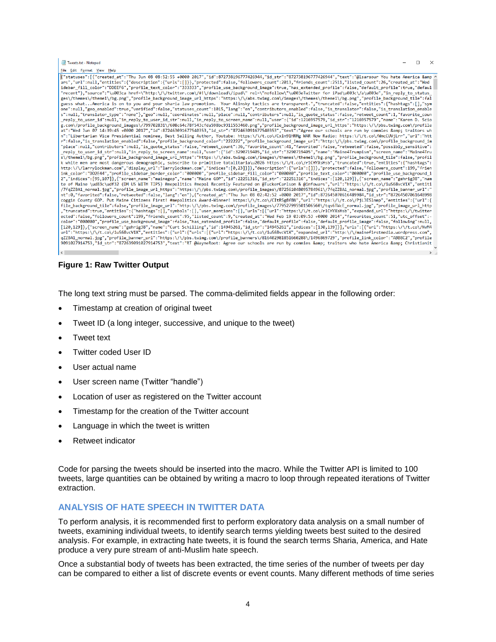| Tweets.txt - Notepad                                                                                                                                                                                                                                                                                                                                                                                                                                                                                                                                                                                                                                                                                                                                                                                                                                                                                                                                                                                                                                                                                                                                                                                                                                                                                                                                                                                                                                                                                                                                                                                                                                                                                                                                                                                                                                                                                                                                                                                                                                                                                                                                                                                                                                                                                                                                                                                                                                                                                                                                                                                                                                                                                                                                                                                                                                                                                                                                                                                                                                                                                                                                                                                                                                                                                                                                                                                                                                                                                                                                                                                                                                                                                                                                                                                                                                                                                                                                                                                                                                                                                                                                                                                                                                                                                                                                                                                                                                                                                                                                                                                                                                                                                                                                                                                                                                                                                                                                                                                                                                       | $\Box$ | $\mathsf{X}$  |
|------------------------------------------------------------------------------------------------------------------------------------------------------------------------------------------------------------------------------------------------------------------------------------------------------------------------------------------------------------------------------------------------------------------------------------------------------------------------------------------------------------------------------------------------------------------------------------------------------------------------------------------------------------------------------------------------------------------------------------------------------------------------------------------------------------------------------------------------------------------------------------------------------------------------------------------------------------------------------------------------------------------------------------------------------------------------------------------------------------------------------------------------------------------------------------------------------------------------------------------------------------------------------------------------------------------------------------------------------------------------------------------------------------------------------------------------------------------------------------------------------------------------------------------------------------------------------------------------------------------------------------------------------------------------------------------------------------------------------------------------------------------------------------------------------------------------------------------------------------------------------------------------------------------------------------------------------------------------------------------------------------------------------------------------------------------------------------------------------------------------------------------------------------------------------------------------------------------------------------------------------------------------------------------------------------------------------------------------------------------------------------------------------------------------------------------------------------------------------------------------------------------------------------------------------------------------------------------------------------------------------------------------------------------------------------------------------------------------------------------------------------------------------------------------------------------------------------------------------------------------------------------------------------------------------------------------------------------------------------------------------------------------------------------------------------------------------------------------------------------------------------------------------------------------------------------------------------------------------------------------------------------------------------------------------------------------------------------------------------------------------------------------------------------------------------------------------------------------------------------------------------------------------------------------------------------------------------------------------------------------------------------------------------------------------------------------------------------------------------------------------------------------------------------------------------------------------------------------------------------------------------------------------------------------------------------------------------------------------------------------------------------------------------------------------------------------------------------------------------------------------------------------------------------------------------------------------------------------------------------------------------------------------------------------------------------------------------------------------------------------------------------------------------------------------------------------------------------------------------------------------------------------------------------------------------------------------------------------------------------------------------------------------------------------------------------------------------------------------------------------------------------------------------------------------------------------------------------------------------------------------------------------------------------------------------------------------------------------------------------------------------------------------------------------------------|--------|---------------|
| File Edit Format View Help                                                                                                                                                                                                                                                                                                                                                                                                                                                                                                                                                                                                                                                                                                                                                                                                                                                                                                                                                                                                                                                                                                                                                                                                                                                                                                                                                                                                                                                                                                                                                                                                                                                                                                                                                                                                                                                                                                                                                                                                                                                                                                                                                                                                                                                                                                                                                                                                                                                                                                                                                                                                                                                                                                                                                                                                                                                                                                                                                                                                                                                                                                                                                                                                                                                                                                                                                                                                                                                                                                                                                                                                                                                                                                                                                                                                                                                                                                                                                                                                                                                                                                                                                                                                                                                                                                                                                                                                                                                                                                                                                                                                                                                                                                                                                                                                                                                                                                                                                                                                                                 |        |               |
| {"statuses":[{"created at":"Thu Jun 08 08:52:55 +0000 2017","id":872738196777426944,"id str":"872738196777426944","text":"@lsarsour You hate America & /<br>ars","url":null,"entities":{"description":{"urls":[]}},"protected":false,"followers_count":2013,"friends_count":2511,"listed_count":26,"created_at":"Wed<br>idebar fill color":"DDEEF6","profile text color":"333333","profile use background image":true,"has extended profile":false,"default profile":true,"defaul<br>"recent"},"source":"\u003ca href=\"http:\/\/twitter.com\/#!\/download\/ipad\"rel=\"nofollow\"\u003eTwitter for iPad\u003c\/a\u003e","in reply to status<br>ges\/themes\/theme1\/bg.png","profile background image url https":"https:\/\/abs.twimg.com\/images\/themes\/theme1\/bg.png","profile background tile":fal<br>guess whatAmerica is on to you and your sharia law promotion. Your Alinsky tactics are transparent.","truncated":false,"entities":{"hashtags":[],"sym<br>one":null,"geo enabled":true,"verified":false,"statuses count":1015,"lang":"en","contributors enabled":false,"is translator":false,"is translation enable<br>s":null,"translator type":"none"},"geo":null,"coordinates":null,"place":null,"contributors":null,"is quote status":false,"retweet count":1,"favorite coun<br>reply to user id":null,"in reply to user id str":null,"in reply to screen name":null,"user":{"id":1216957579,"id str":"1216957579","name":"Karen D. Scio<br>g.com\/profile_background_images\/799702831\/608c64c78f543cfda598bc9311553460.png","profile_background_image_url_https":"https:\/\/pbs.twimg.com\/profile<br>at": "Wed Jun 07 14:39:45 +0000 2017", "id":872463091677540353, "id str": "872463091677540353", "text": "Agree our schools are run by commies & traitors wh<br>n":"Libertarian Vice Presidential nominee, Best Selling Author, Youtube: https:\/\/t.co\/Cxln91HRMg WAR Now Radio: https:\/\/t.co\/WmcCUVjLrr","url":"htt<br>r":false,"is translation enabled":false,"profile_background_color":"222222","profile_background_image_url":"http:\/\/pbs.twimg.com\/profile_background_im<br>"place":null,"contributors":null,"is quote status":false,"retweet count":36,"favorite count":41,"favorited":false,"retweeted":false,"possibly sensitive":<br>reply to user id str":null,"in reply to screen name":null,"user":{"id":3290719405,"id str":"3290719405","name":"Maine4Trumpism","screen name":"Maine4Tru<br>s\/theme1\/bg.png","profile background image url https":"https:\/\/abs.twimg.com\/images\/themes\/theme1\/bg.png","profile background tile":false,"profil<br>k white men are most dangerous demographic, subscribe to primitive totalitaria\u2026 https:\/\/t.co\/r1CHYXsHsb","truncated":true,"entities":{"hashtags":<br>http:\/\/larrylockman.com","display url":"larrylockman.com","indices":[0,23]}]},"description":{"urls":[]}},"protected":false,"followers count":199,"frien<br>ink color":"DD2E44","profile sidebar border color":"000000","profile sidebar fill color":"000000","profile text color":"000000","profile use background i<br>7"andices": [95,107]}, {"screen name":"mainegop","name":"Maine GOP","id":22251316,"id str":"22251316","indices": [120,129]}, {"screen name":"gehrig38","nam<br>te of Maine \ud83c\udf32 (DM US WITH TIPS) #mepolitics #mepol Recently Featured on @TuckerCarlson & @infowars","url":"https:\/\/t.co\/iuS68vcV1X","entiti<br>/7fqZZBA1 normal.jpg","profile image url https":"https:\/\/pbs.twimg.com\/profile images\/872561048095784961\/7fqZZBA1 normal.jpg","profile banner url":"<br>nt":0,"favorited":false,"retweeted":false,"lang":"en"},{"created at":"Thu Jun 08 02:42:52 +0000 2017","id":872645070616489984,"id str":"87264507061648998<br>coggin County GOP. Put Maine Citizens First! #mepolitics Award-Winner! https:\/\/t.co\/CItRSg8f8N","url":"https:\/\/t.co\/PjLJES1nmp","entities":{"url":{<br>file background tile":false,"profile image url":"http:\/\/pbs.twimg.com\/profile images\/779527995501506560\/tqs6TWcE normal.jpg","profile image url http<br>."truncated":true,"entities":{"hashtags":[],"symbols":[],"user mentions":[],"urls":[{"url":"https:\/\/t.co\/r1CHYXsHsb","expanded url":"https:\/\/twitter,<br>ected":false,"followers count":199,"friends count":95,"listed count":9,"created at":"Wed Feb 19 03:09:53 +0000 2014","favourites count":51,"utc offset":-<br>color":"000000","profile use background image":false,"has extended profile":false,"default profile":false,"default profile image":false,"following":null,<br>[120,129]},{"screen_name":"gehrig38","name":"Curt Schilling","id":14945261,"id_str":"14945261","indices":[130,139]}],"urls":[{"url":"https:\/\/t.co\/NvM4<br>url":"https:\/\/t.co\/iuS68vcV1X","entities":{"url":{"urls":[{"url":"https:\/\/t.co\/iuS68vcV1X","expanded url":"http:\/\/mainefirstmedia.wordpress.com",<br>qZZBA1 normal.jpg","profile banner url":"https:\/\/pbs.twimg.com\/profile banners\/816402981851660288\/1496869729","profile link color":"ABB8C2","profile |        |               |
| 9091027914753,"id_str":"872639091027914753","text":"RT @WayneRoot: Agree our schools are run by commies & traitors who hate America & Christianit<br>$\left  \right $                                                                                                                                                                                                                                                                                                                                                                                                                                                                                                                                                                                                                                                                                                                                                                                                                                                                                                                                                                                                                                                                                                                                                                                                                                                                                                                                                                                                                                                                                                                                                                                                                                                                                                                                                                                                                                                                                                                                                                                                                                                                                                                                                                                                                                                                                                                                                                                                                                                                                                                                                                                                                                                                                                                                                                                                                                                                                                                                                                                                                                                                                                                                                                                                                                                                                                                                                                                                                                                                                                                                                                                                                                                                                                                                                                                                                                                                                                                                                                                                                                                                                                                                                                                                                                                                                                                                                                                                                                                                                                                                                                                                                                                                                                                                                                                                                                                                                      |        |               |
|                                                                                                                                                                                                                                                                                                                                                                                                                                                                                                                                                                                                                                                                                                                                                                                                                                                                                                                                                                                                                                                                                                                                                                                                                                                                                                                                                                                                                                                                                                                                                                                                                                                                                                                                                                                                                                                                                                                                                                                                                                                                                                                                                                                                                                                                                                                                                                                                                                                                                                                                                                                                                                                                                                                                                                                                                                                                                                                                                                                                                                                                                                                                                                                                                                                                                                                                                                                                                                                                                                                                                                                                                                                                                                                                                                                                                                                                                                                                                                                                                                                                                                                                                                                                                                                                                                                                                                                                                                                                                                                                                                                                                                                                                                                                                                                                                                                                                                                                                                                                                                                            |        | $\rightarrow$ |

**Figure 1: Raw Twitter Output**

The long text string must be parsed. The comma-delimited fields appear in the following order:

- Timestamp at creation of original tweet
- Tweet ID (a long integer, successive, and unique to the tweet)
- **Tweet text**
- Twitter coded User ID
- User actual name
- User screen name (Twitter "handle")
- Location of user as registered on the Twitter account
- Timestamp for the creation of the Twitter account
- Language in which the tweet is written
- Retweet indicator

Code for parsing the tweets should be inserted into the macro. While the Twitter API is limited to 100 tweets, large quantities can be obtained by writing a macro to loop through repeated iterations of Twitter extraction.

#### **ANALYSIS OF HATE SPEECH IN TWITTER DATA**

To perform analysis, it is recommended first to perform exploratory data analysis on a small number of tweets, examining individual tweets, to identify search terms yielding tweets best suited to the desired analysis. For example, in extracting hate tweets, it is found the search terms Sharia, America, and Hate produce a very pure stream of anti-Muslim hate speech.

Once a substantial body of tweets has been extracted, the time series of the number of tweets per day can be compared to either a list of discrete events or event counts. Many different methods of time series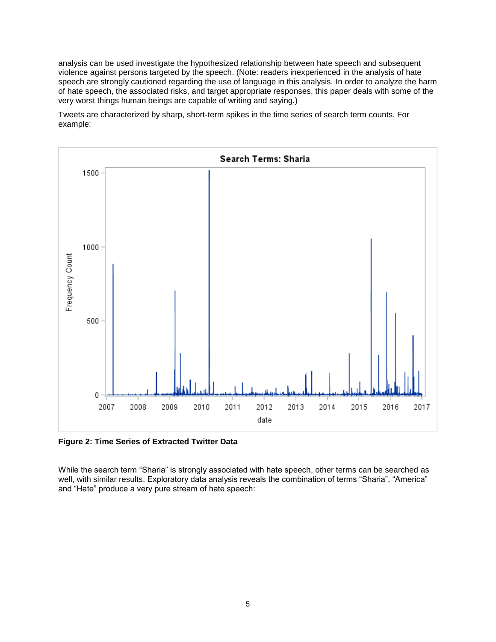analysis can be used investigate the hypothesized relationship between hate speech and subsequent violence against persons targeted by the speech. (Note: readers inexperienced in the analysis of hate speech are strongly cautioned regarding the use of language in this analysis. In order to analyze the harm of hate speech, the associated risks, and target appropriate responses, this paper deals with some of the very worst things human beings are capable of writing and saying.)

Tweets are characterized by sharp, short-term spikes in the time series of search term counts. For example:



**Figure 2: Time Series of Extracted Twitter Data**

While the search term "Sharia" is strongly associated with hate speech, other terms can be searched as well, with similar results. Exploratory data analysis reveals the combination of terms "Sharia", "America" and "Hate" produce a very pure stream of hate speech: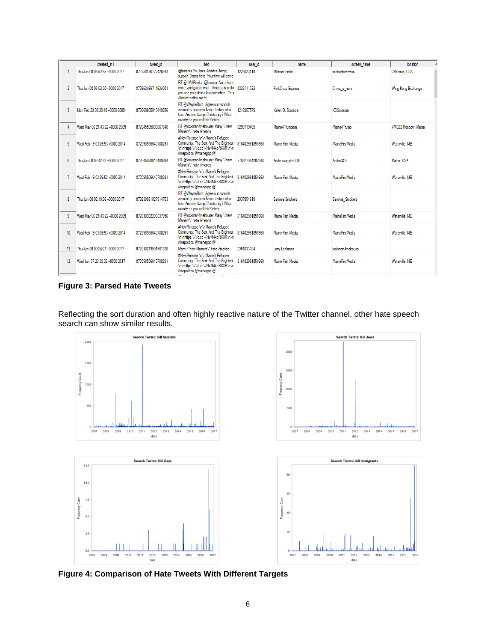|                  | created at 1                   | tweet id           | text                                                                                                                                                         | user id         | name                    | screen name       | location            |
|------------------|--------------------------------|--------------------|--------------------------------------------------------------------------------------------------------------------------------------------------------------|-----------------|-------------------------|-------------------|---------------------|
|                  | Thu Jun 08 08:52:55 +0000 2017 | 872738196777426944 | @Isarsour You hate America &:<br>support Sharia here. Your time will come.                                                                                   | 1223623118      | Michael Frwin           | michaeloferwins   | Califomia, USA      |
| $\overline{2}$   | Thu Jun 08 03:52:00 +0000 2017 | 872662466714624001 | RT @LMARocks: @Isarsour Not a hate<br>crime, and guess whatAmerica is on to 4223111532<br>vou and vour sharia law promotion. Your<br>Alinsky tactics are tr\ |                 | <b>PorkChop Express</b> | China is here     | Wing Kong Exchange  |
| 3                | Mon Feb 23 03:30:48 +0000 2009 | 872660605043449856 | RT @WayneRoot: Agree our schools<br>are run by commies & traitors who<br>hate America &: Christianity? What<br>exactly do you call this? \nhttp              | 1216957579      | Karen D. Scioscia       | <b>KDScinscia</b> |                     |
| 4                | Wed May 06 21:43:22 +0000 2009 | 872645595068067840 | RT @lockman4mehouse: Many \"new<br>Mainers\" hate America                                                                                                    | 3290719405      | Maine4Trumpism          | Maine4Trump       | #ME02 Moscow. Maine |
| 5                | Wed Feb 19 03:09:53 +0000 2014 | 872598556640780291 | #NewRelease \n\nMaine's Refugee<br>Community: The Best And The Brightest 816402981851660<br>\n\nhttps:\/\/t.co\/NvM4koRXXR\n\n<br>#mepolitics @mainegop @    |                 | Maine First Media       | MaineFirst Media  | Waterville, ME      |
| 6                | Thu Jun 08 02:42:52 +0000 2017 | 872645070616489984 | RT @lockman4mehouse: Many \"new<br>Mainers\" hate America                                                                                                    | 779527044287848 | Androscoggin GOP        | AndroGOP          | Maine, USA          |
| 7                | Wed Feb 19 03:09:53 +0000 2014 | 872598556640780291 | #NewRelease \n\nMaine's Refugee<br>Community: The Best And The Brightest 816402981851660<br>\n\nhttps:\/\/t.co\/NvM4koRXXR\n\n<br>#mepolitics @mainegop @    |                 | Maine First Media       | MaineFirst Media  | Waterville, ME      |
| 8                | Thu Jun 08 02:19:06 +0000 2017 | 872639091027914753 | RT @WayneRoot: Agree our schools<br>are run by commies & traitors who<br>hate America &: Christianity? What<br>exactly do you call this? \nhttp              | 2937854619      | Sammie Snickers         | Sammie Snickers   |                     |
| 9                | Wed May 06 21:43:22 +0000 2009 | 872610362209837056 | RT @lockman4mehouse: Many \"new<br>Mainers\" hate America                                                                                                    | 816402981851660 | Maine First Media       | MaineFirstMedia   | Waterville, ME      |
| 10 <sup>10</sup> | Wed Feb 19 03:09:53 +0000 2014 | 872598556640780291 | #NewRelease \n\nMaine's Refugee<br>Community: The Best And The Brightest 816402981851660<br>\n\nhttps:\/\/t.co\/NvM4koRXXR\n\n<br>#mepolitics @mainegop @    |                 | Maine First Media       | MaineFirst Media  | Waterville, ME      |
| 11               | Thu Jun 08 00:24:21 +0000 2017 | 872610213991501828 | Many \"new Mainers\" hate America                                                                                                                            | 2351033034      | Lany Lockman            | lockman4mehouse   |                     |
| 12               | Wed Jun 07 23:38:02 +0000 2017 | 872598556640780291 | #NewRelease \n\nMaine's Refugee<br>Community: The Best And The Brightest 816402981851660<br>\n\nhttps:\/\/t.co\/NvM4koRXXR\n\n<br>#mepolitics @mainegop @    |                 | Maine First Media       | Maine First Media | Waterville, ME      |

**Figure 3: Parsed Hate Tweets** 

Reflecting the sort duration and often highly reactive nature of the Twitter channel, other hate speech search can show similar results.



**Figure 4: Comparison of Hate Tweets With Different Targets**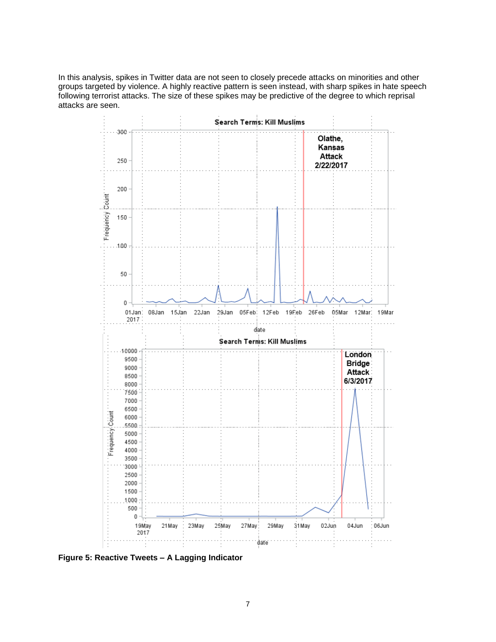In this analysis, spikes in Twitter data are not seen to closely precede attacks on minorities and other groups targeted by violence. A highly reactive pattern is seen instead, with sharp spikes in hate speech following terrorist attacks. The size of these spikes may be predictive of the degree to which reprisal attacks are seen.



**Figure 5: Reactive Tweets – A Lagging Indicator**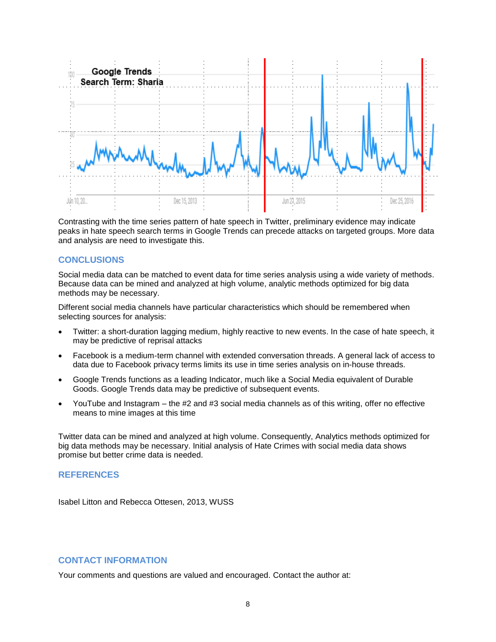

Contrasting with the time series pattern of hate speech in Twitter, preliminary evidence may indicate peaks in hate speech search terms in Google Trends can precede attacks on targeted groups. More data and analysis are need to investigate this.

#### **CONCLUSIONS**

Social media data can be matched to event data for time series analysis using a wide variety of methods. Because data can be mined and analyzed at high volume, analytic methods optimized for big data methods may be necessary.

Different social media channels have particular characteristics which should be remembered when selecting sources for analysis:

- Twitter: a short-duration lagging medium, highly reactive to new events. In the case of hate speech, it may be predictive of reprisal attacks
- Facebook is a medium-term channel with extended conversation threads. A general lack of access to data due to Facebook privacy terms limits its use in time series analysis on in-house threads.
- Google Trends functions as a leading Indicator, much like a Social Media equivalent of Durable Goods. Google Trends data may be predictive of subsequent events.
- YouTube and Instagram the #2 and #3 social media channels as of this writing, offer no effective means to mine images at this time

Twitter data can be mined and analyzed at high volume. Consequently, Analytics methods optimized for big data methods may be necessary. Initial analysis of Hate Crimes with social media data shows promise but better crime data is needed.

# **REFERENCES**

Isabel Litton and Rebecca Ottesen, 2013, WUSS

# **CONTACT INFORMATION**

Your comments and questions are valued and encouraged. Contact the author at: